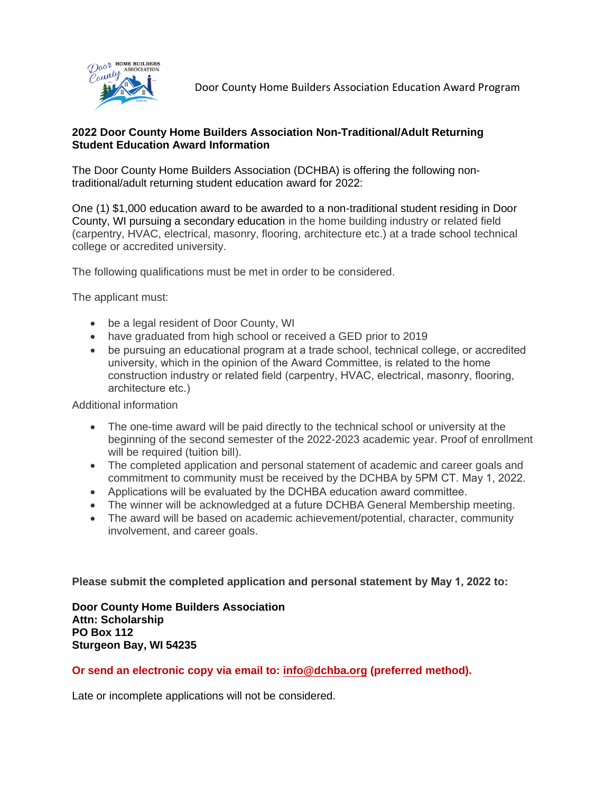

### **2022 Door County Home Builders Association Non-Traditional/Adult Returning Student Education Award Information**

The Door County Home Builders Association (DCHBA) is offering the following nontraditional/adult returning student education award for 2022:

One (1) \$1,000 education award to be awarded to a non-traditional student residing in Door County, WI pursuing a secondary education in the home building industry or related field (carpentry, HVAC, electrical, masonry, flooring, architecture etc.) at a trade school technical college or accredited university.

The following qualifications must be met in order to be considered.

The applicant must:

- be a legal resident of Door County, WI
- have graduated from high school or received a GED prior to 2019
- be pursuing an educational program at a trade school, technical college, or accredited university, which in the opinion of the Award Committee, is related to the home construction industry or related field (carpentry, HVAC, electrical, masonry, flooring, architecture etc.)

Additional information

- The one-time award will be paid directly to the technical school or university at the beginning of the second semester of the 2022-2023 academic year. Proof of enrollment will be required (tuition bill).
- The completed application and personal statement of academic and career goals and commitment to community must be received by the DCHBA by 5PM CT. May 1, 2022.
- Applications will be evaluated by the DCHBA education award committee.
- The winner will be acknowledged at a future DCHBA General Membership meeting.
- The award will be based on academic achievement/potential, character, community involvement, and career goals.

**Please submit the completed application and personal statement by May 1, 2022 to:**

**Door County Home Builders Association Attn: Scholarship PO Box 112 Sturgeon Bay, WI 54235** 

### **Or send an electronic copy via email to: [info@dchba.org](mailto:info@dchba.org) (preferred method).**

Late or incomplete applications will not be considered.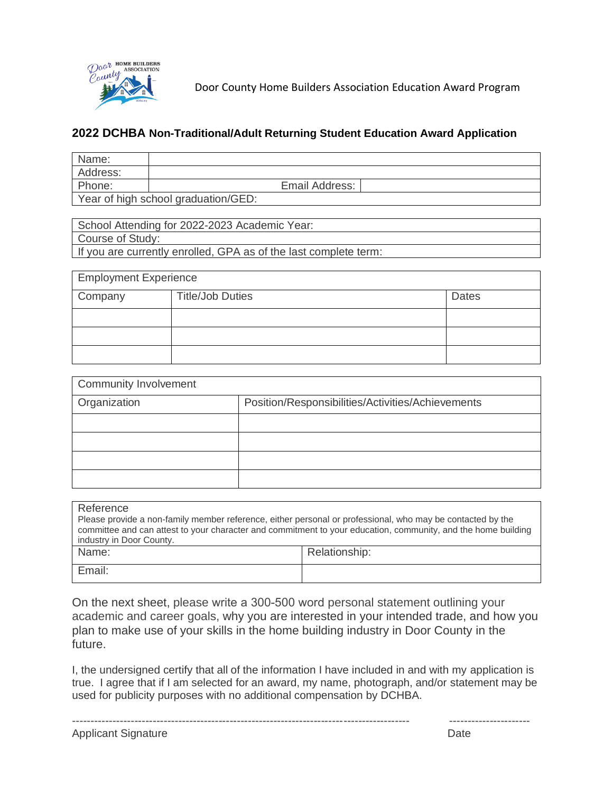

## **2022 DCHBA Non-Traditional/Adult Returning Student Education Award Application**

| Name:                               |                |  |  |
|-------------------------------------|----------------|--|--|
| Address:                            |                |  |  |
| Phone:                              | Email Address: |  |  |
| Year of high school graduation/GED: |                |  |  |

| School Attending for 2022-2023 Academic Year:                    |
|------------------------------------------------------------------|
| Course of Study:                                                 |
| If you are currently enrolled, GPA as of the last complete term: |

| <b>Employment Experience</b> |                         |              |  |  |
|------------------------------|-------------------------|--------------|--|--|
| Company                      | <b>Title/Job Duties</b> | <b>Dates</b> |  |  |
|                              |                         |              |  |  |
|                              |                         |              |  |  |
|                              |                         |              |  |  |

| <b>Community Involvement</b> |                                                   |  |  |  |
|------------------------------|---------------------------------------------------|--|--|--|
| Organization                 | Position/Responsibilities/Activities/Achievements |  |  |  |
|                              |                                                   |  |  |  |
|                              |                                                   |  |  |  |
|                              |                                                   |  |  |  |
|                              |                                                   |  |  |  |

| Reference                                                                                                     |               |  |  |  |
|---------------------------------------------------------------------------------------------------------------|---------------|--|--|--|
| Please provide a non-family member reference, either personal or professional, who may be contacted by the    |               |  |  |  |
| committee and can attest to your character and commitment to your education, community, and the home building |               |  |  |  |
| industry in Door County.                                                                                      |               |  |  |  |
| Name:                                                                                                         | Relationship: |  |  |  |
|                                                                                                               |               |  |  |  |
| Email:                                                                                                        |               |  |  |  |

On the next sheet, please write a 300-500 word personal statement outlining your academic and career goals, why you are interested in your intended trade, and how you plan to make use of your skills in the home building industry in Door County in the future.

I, the undersigned certify that all of the information I have included in and with my application is true. I agree that if I am selected for an award, my name, photograph, and/or statement may be used for publicity purposes with no additional compensation by DCHBA.

-------------------------------------------------------------------------------------------- ----------------------

Applicant Signature Date Date Date Date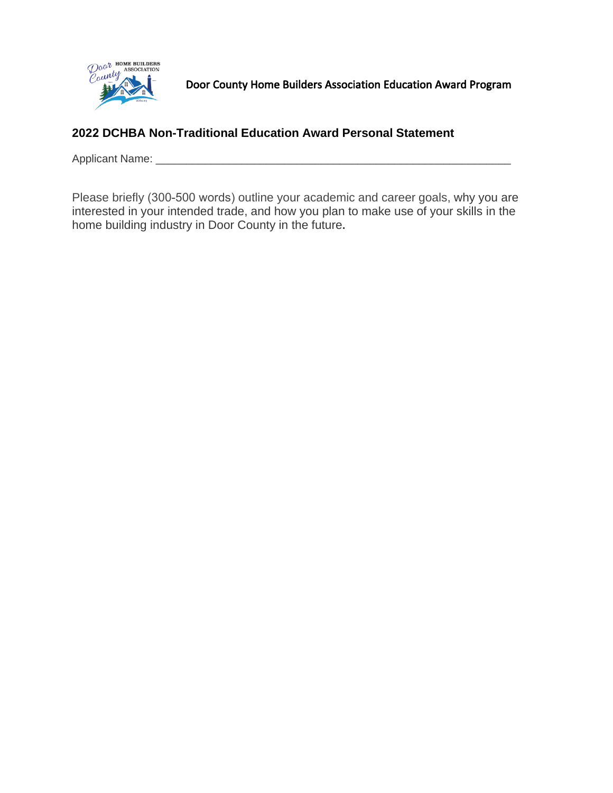

## **2022 DCHBA Non-Traditional Education Award Personal Statement**

Applicant Name: \_\_\_\_\_\_\_\_\_\_\_\_\_\_\_\_\_\_\_\_\_\_\_\_\_\_\_\_\_\_\_\_\_\_\_\_\_\_\_\_\_\_\_\_\_\_\_\_\_\_\_\_\_\_\_\_\_\_

Please briefly (300-500 words) outline your academic and career goals, why you are interested in your intended trade, and how you plan to make use of your skills in the home building industry in Door County in the future**.**